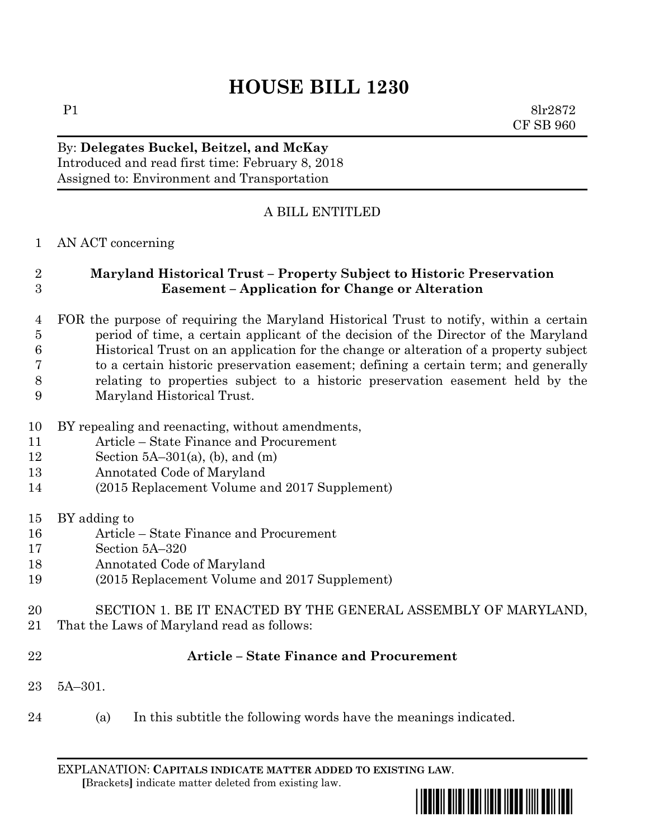# **HOUSE BILL 1230**

P1 8lr2872 CF SB 960

## By: **Delegates Buckel, Beitzel, and McKay** Introduced and read first time: February 8, 2018 Assigned to: Environment and Transportation

# A BILL ENTITLED

#### AN ACT concerning

### **Maryland Historical Trust – Property Subject to Historic Preservation Easement – Application for Change or Alteration**

- FOR the purpose of requiring the Maryland Historical Trust to notify, within a certain period of time, a certain applicant of the decision of the Director of the Maryland Historical Trust on an application for the change or alteration of a property subject to a certain historic preservation easement; defining a certain term; and generally relating to properties subject to a historic preservation easement held by the Maryland Historical Trust.
- BY repealing and reenacting, without amendments,
- Article State Finance and Procurement
- 12 Section 5A–301(a), (b), and (m)
- Annotated Code of Maryland
- (2015 Replacement Volume and 2017 Supplement)
- BY adding to
- Article State Finance and Procurement
- Section 5A–320
- Annotated Code of Maryland
- (2015 Replacement Volume and 2017 Supplement)
- SECTION 1. BE IT ENACTED BY THE GENERAL ASSEMBLY OF MARYLAND,
- That the Laws of Maryland read as follows:
- 

#### **Article – State Finance and Procurement**

- 5A–301.
- (a) In this subtitle the following words have the meanings indicated.

EXPLANATION: **CAPITALS INDICATE MATTER ADDED TO EXISTING LAW**.  **[**Brackets**]** indicate matter deleted from existing law.